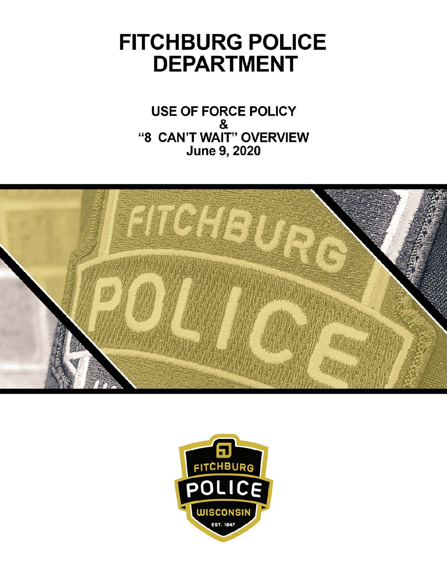# **FITCHBURG POLICE DEPARTMENT**

**USE OF FORCE POLICY** & "8 CAN'T WAIT" OVERVIEW **June 9, 2020** 



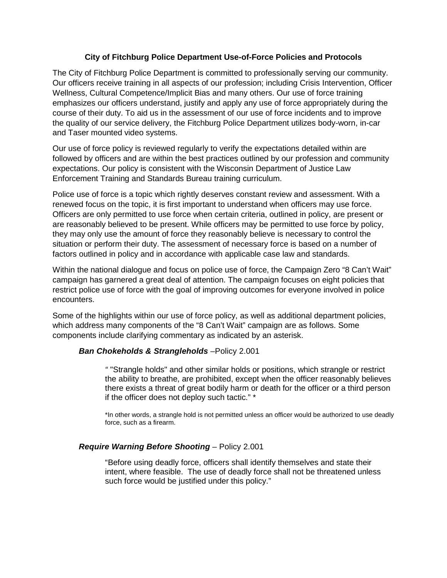## **City of Fitchburg Police Department Use-of-Force Policies and Protocols**

The City of Fitchburg Police Department is committed to professionally serving our community. Our officers receive training in all aspects of our profession; including Crisis Intervention, Officer Wellness, Cultural Competence/Implicit Bias and many others. Our use of force training emphasizes our officers understand, justify and apply any use of force appropriately during the course of their duty. To aid us in the assessment of our use of force incidents and to improve the quality of our service delivery, the Fitchburg Police Department utilizes body-worn, in-car and Taser mounted video systems.

Our use of force policy is reviewed regularly to verify the expectations detailed within are followed by officers and are within the best practices outlined by our profession and community expectations. Our policy is consistent with the Wisconsin Department of Justice Law Enforcement Training and Standards Bureau training curriculum.

Police use of force is a topic which rightly deserves constant review and assessment. With a renewed focus on the topic, it is first important to understand when officers may use force. Officers are only permitted to use force when certain criteria, outlined in policy, are present or are reasonably believed to be present. While officers may be permitted to use force by policy, they may only use the amount of force they reasonably believe is necessary to control the situation or perform their duty. The assessment of necessary force is based on a number of factors outlined in policy and in accordance with applicable case law and standards.

Within the national dialogue and focus on police use of force, the Campaign Zero "8 Can't Wait" campaign has garnered a great deal of attention. The campaign focuses on eight policies that restrict police use of force with the goal of improving outcomes for everyone involved in police encounters.

Some of the highlights within our use of force policy, as well as additional department policies, which address many components of the "8 Can't Wait" campaign are as follows. Some components include clarifying commentary as indicated by an asterisk.

## *Ban Chokeholds & Strangleholds* –Policy 2.001

*"* "Strangle holds" and other similar holds or positions, which strangle or restrict the ability to breathe, are prohibited, except when the officer reasonably believes there exists a threat of great bodily harm or death for the officer or a third person if the officer does not deploy such tactic." \*

\*In other words, a strangle hold is not permitted unless an officer would be authorized to use deadly force, such as a firearm.

## *Require Warning Before Shooting* – Policy 2.001

"Before using deadly force, officers shall identify themselves and state their intent, where feasible. The use of deadly force shall not be threatened unless such force would be justified under this policy."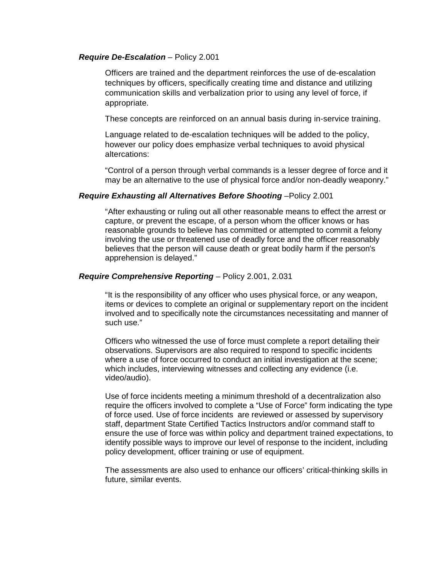#### *Require De-Escalation –* Policy 2.001

Officers are trained and the department reinforces the use of de-escalation techniques by officers, specifically creating time and distance and utilizing communication skills and verbalization prior to using any level of force, if appropriate.

These concepts are reinforced on an annual basis during in-service training.

Language related to de-escalation techniques will be added to the policy, however our policy does emphasize verbal techniques to avoid physical altercations:

"Control of a person through verbal commands is a lesser degree of force and it may be an alternative to the use of physical force and/or non-deadly weaponry."

#### *Require Exhausting all Alternatives Before Shooting* –Policy 2.001

"After exhausting or ruling out all other reasonable means to effect the arrest or capture, or prevent the escape, of a person whom the officer knows or has reasonable grounds to believe has committed or attempted to commit a felony involving the use or threatened use of deadly force and the officer reasonably believes that the person will cause death or great bodily harm if the person's apprehension is delayed."

#### *Require Comprehensive Reporting –* Policy 2.001, 2.031

"It is the responsibility of any officer who uses physical force, or any weapon, items or devices to complete an original or supplementary report on the incident involved and to specifically note the circumstances necessitating and manner of such use."

Officers who witnessed the use of force must complete a report detailing their observations. Supervisors are also required to respond to specific incidents where a use of force occurred to conduct an initial investigation at the scene; which includes, interviewing witnesses and collecting any evidence (i.e. video/audio).

Use of force incidents meeting a minimum threshold of a decentralization also require the officers involved to complete a "Use of Force" form indicating the type of force used. Use of force incidents are reviewed or assessed by supervisory staff, department State Certified Tactics Instructors and/or command staff to ensure the use of force was within policy and department trained expectations, to identify possible ways to improve our level of response to the incident, including policy development, officer training or use of equipment.

The assessments are also used to enhance our officers' critical-thinking skills in future, similar events.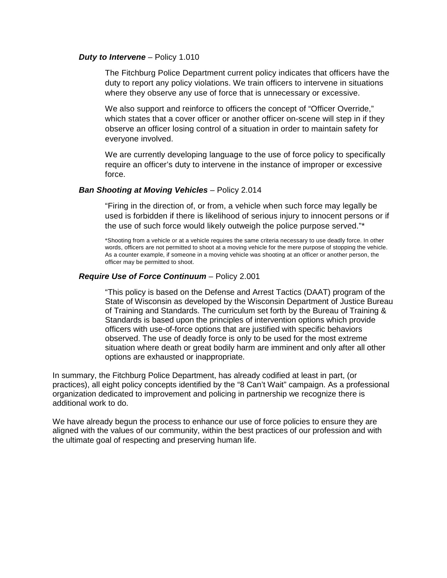#### *Duty to Intervene –* Policy 1.010

The Fitchburg Police Department current policy indicates that officers have the duty to report any policy violations. We train officers to intervene in situations where they observe any use of force that is unnecessary or excessive.

We also support and reinforce to officers the concept of "Officer Override," which states that a cover officer or another officer on-scene will step in if they observe an officer losing control of a situation in order to maintain safety for everyone involved.

We are currently developing language to the use of force policy to specifically require an officer's duty to intervene in the instance of improper or excessive force.

#### **Ban Shooting at Moving Vehicles - Policy 2.014**

"Firing in the direction of, or from, a vehicle when such force may legally be used is forbidden if there is likelihood of serious injury to innocent persons or if the use of such force would likely outweigh the police purpose served."\*

\*Shooting from a vehicle or at a vehicle requires the same criteria necessary to use deadly force. In other words, officers are not permitted to shoot at a moving vehicle for the mere purpose of stopping the vehicle. As a counter example, if someone in a moving vehicle was shooting at an officer or another person, the officer may be permitted to shoot.

#### *Require Use of Force Continuum –* Policy 2.001

"This policy is based on the Defense and Arrest Tactics (DAAT) program of the State of Wisconsin as developed by the Wisconsin Department of Justice Bureau of Training and Standards. The curriculum set forth by the Bureau of Training & Standards is based upon the principles of intervention options which provide officers with use-of-force options that are justified with specific behaviors observed. The use of deadly force is only to be used for the most extreme situation where death or great bodily harm are imminent and only after all other options are exhausted or inappropriate.

In summary, the Fitchburg Police Department, has already codified at least in part, (or practices), all eight policy concepts identified by the "8 Can't Wait" campaign. As a professional organization dedicated to improvement and policing in partnership we recognize there is additional work to do.

We have already begun the process to enhance our use of force policies to ensure they are aligned with the values of our community, within the best practices of our profession and with the ultimate goal of respecting and preserving human life.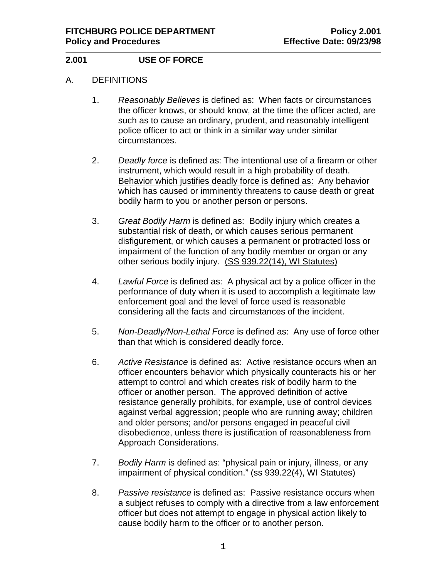# **2.001 USE OF FORCE**

## A. DEFINITIONS

- 1. *Reasonably Believes* is defined as:When facts or circumstances the officer knows, or should know, at the time the officer acted, are such as to cause an ordinary, prudent, and reasonably intelligent police officer to act or think in a similar way under similar circumstances.
- 2. *Deadly force* is defined as: The intentional use of a firearm or other instrument, which would result in a high probability of death. Behavior which justifies deadly force is defined as: Any behavior which has caused or imminently threatens to cause death or great bodily harm to you or another person or persons.
- 3. *Great Bodily Harm* is defined as: Bodily injury which creates a substantial risk of death, or which causes serious permanent disfigurement, or which causes a permanent or protracted loss or impairment of the function of any bodily member or organ or any other serious bodily injury. (SS 939.22(14), WI Statutes)
- 4. *Lawful Force* is defined as: A physical act by a police officer in the performance of duty when it is used to accomplish a legitimate law enforcement goal and the level of force used is reasonable considering all the facts and circumstances of the incident.
- 5. *Non-Deadly/Non-Lethal Force* is defined as: Any use of force other than that which is considered deadly force.
- 6. *Active Resistance* is defined as: Active resistance occurs when an officer encounters behavior which physically counteracts his or her attempt to control and which creates risk of bodily harm to the officer or another person. The approved definition of active resistance generally prohibits, for example, use of control devices against verbal aggression; people who are running away; children and older persons; and/or persons engaged in peaceful civil disobedience, unless there is justification of reasonableness from Approach Considerations.
- 7. *Bodily Harm* is defined as: "physical pain or injury, illness, or any impairment of physical condition." (ss 939.22(4), WI Statutes)
- 8. *Passive resistance* is defined as: Passive resistance occurs when a subject refuses to comply with a directive from a law enforcement officer but does not attempt to engage in physical action likely to cause bodily harm to the officer or to another person.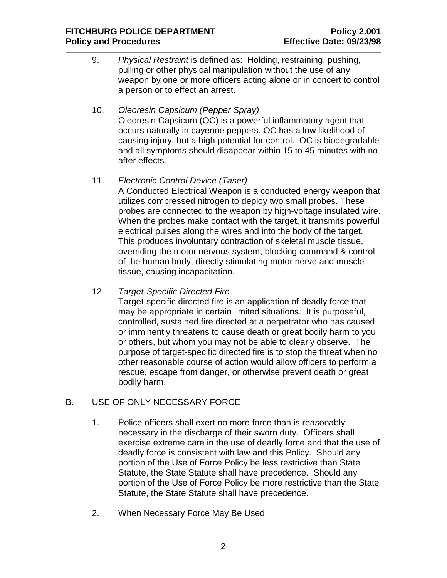- 9. *Physical Restraint* is defined as: Holding, restraining, pushing, pulling or other physical manipulation without the use of any weapon by one or more officers acting alone or in concert to control a person or to effect an arrest.
- 10. *Oleoresin Capsicum (Pepper Spray)* Oleoresin Capsicum (OC) is a powerful inflammatory agent that occurs naturally in cayenne peppers. OC has a low likelihood of causing injury, but a high potential for control. OC is biodegradable and all symptoms should disappear within 15 to 45 minutes with no after effects.
- 11. *Electronic Control Device (Taser)*

A Conducted Electrical Weapon is a conducted energy weapon that utilizes compressed nitrogen to deploy two small probes. These probes are connected to the weapon by high-voltage insulated wire. When the probes make contact with the target, it transmits powerful electrical pulses along the wires and into the body of the target. This produces involuntary contraction of skeletal muscle tissue, overriding the motor nervous system, blocking command & control of the human body, directly stimulating motor nerve and muscle tissue, causing incapacitation.

12. *Target-Specific Directed Fire*

Target-specific directed fire is an application of deadly force that may be appropriate in certain limited situations. It is purposeful, controlled, sustained fire directed at a perpetrator who has caused or imminently threatens to cause death or great bodily harm to you or others, but whom you may not be able to clearly observe. The purpose of target-specific directed fire is to stop the threat when no other reasonable course of action would allow officers to perform a rescue, escape from danger, or otherwise prevent death or great bodily harm.

# B. USE OF ONLY NECESSARY FORCE

- 1. Police officers shall exert no more force than is reasonably necessary in the discharge of their sworn duty. Officers shall exercise extreme care in the use of deadly force and that the use of deadly force is consistent with law and this Policy. Should any portion of the Use of Force Policy be less restrictive than State Statute, the State Statute shall have precedence. Should any portion of the Use of Force Policy be more restrictive than the State Statute, the State Statute shall have precedence.
- 2. When Necessary Force May Be Used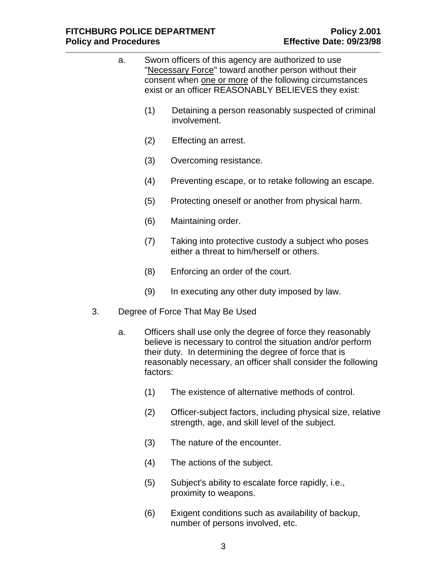| a.  |                                                    |     | Sworn officers of this agency are authorized to use<br>"Necessary Force" toward another person without their<br>consent when one or more of the following circumstances<br>exist or an officer REASONABLY BELIEVES they exist:                         |
|-----|----------------------------------------------------|-----|--------------------------------------------------------------------------------------------------------------------------------------------------------------------------------------------------------------------------------------------------------|
|     |                                                    | (1) | Detaining a person reasonably suspected of criminal<br>involvement.                                                                                                                                                                                    |
|     |                                                    | (2) | Effecting an arrest.                                                                                                                                                                                                                                   |
|     |                                                    | (3) | Overcoming resistance.                                                                                                                                                                                                                                 |
| (4) |                                                    |     | Preventing escape, or to retake following an escape.                                                                                                                                                                                                   |
|     |                                                    | (5) | Protecting oneself or another from physical harm.                                                                                                                                                                                                      |
|     |                                                    | (6) | Maintaining order.                                                                                                                                                                                                                                     |
|     |                                                    | (7) | Taking into protective custody a subject who poses<br>either a threat to him/herself or others.                                                                                                                                                        |
|     |                                                    | (8) | Enforcing an order of the court.                                                                                                                                                                                                                       |
|     |                                                    | (9) | In executing any other duty imposed by law.                                                                                                                                                                                                            |
| 3.  | Degree of Force That May Be Used<br>a.<br>factors: |     |                                                                                                                                                                                                                                                        |
|     |                                                    |     | Officers shall use only the degree of force they reasonably<br>believe is necessary to control the situation and/or perform<br>their duty. In determining the degree of force that is<br>reasonably necessary, an officer shall consider the following |
|     |                                                    | (1) | The existence of alternative methods of control.                                                                                                                                                                                                       |
|     |                                                    | (2) | Officer-subject factors, including physical size, relative<br>strength, age, and skill level of the subject.                                                                                                                                           |

- (3) The nature of the encounter.
- (4) The actions of the subject.
- (5) Subject's ability to escalate force rapidly, i.e., proximity to weapons.
- (6) Exigent conditions such as availability of backup, number of persons involved, etc.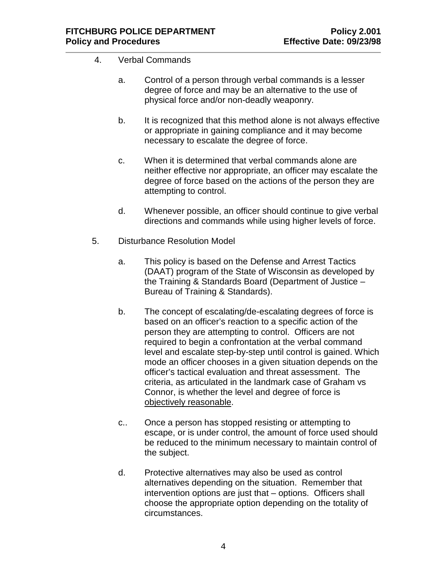- 4. Verbal Commands
	- a. Control of a person through verbal commands is a lesser degree of force and may be an alternative to the use of physical force and/or non-deadly weaponry.
	- b. It is recognized that this method alone is not always effective or appropriate in gaining compliance and it may become necessary to escalate the degree of force.
	- c. When it is determined that verbal commands alone are neither effective nor appropriate, an officer may escalate the degree of force based on the actions of the person they are attempting to control.
	- d. Whenever possible, an officer should continue to give verbal directions and commands while using higher levels of force.
- 5. Disturbance Resolution Model
	- a. This policy is based on the Defense and Arrest Tactics (DAAT) program of the State of Wisconsin as developed by the Training & Standards Board (Department of Justice – Bureau of Training & Standards).
	- b. The concept of escalating/de-escalating degrees of force is based on an officer's reaction to a specific action of the person they are attempting to control. Officers are not required to begin a confrontation at the verbal command level and escalate step-by-step until control is gained. Which mode an officer chooses in a given situation depends on the officer's tactical evaluation and threat assessment. The criteria, as articulated in the landmark case of Graham vs Connor, is whether the level and degree of force is objectively reasonable.
	- c.. Once a person has stopped resisting or attempting to escape, or is under control, the amount of force used should be reduced to the minimum necessary to maintain control of the subject.
	- d. Protective alternatives may also be used as control alternatives depending on the situation. Remember that intervention options are just that – options. Officers shall choose the appropriate option depending on the totality of circumstances.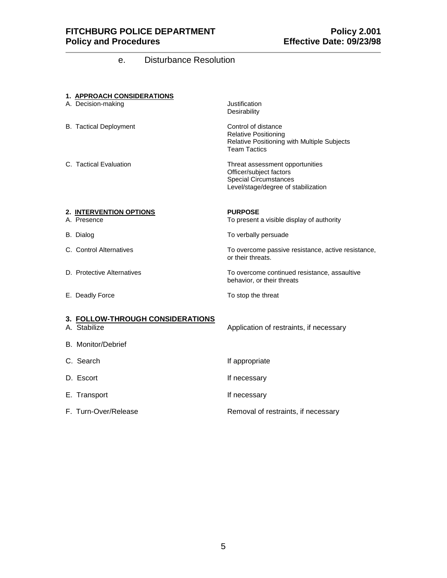# e. Disturbance Resolution

|--|

| A. Decision-making                                                            | Justification<br>Desirability                                                                                                     |
|-------------------------------------------------------------------------------|-----------------------------------------------------------------------------------------------------------------------------------|
| <b>B.</b> Tactical Deployment                                                 | Control of distance<br><b>Relative Positioning</b><br>Relative Positioning with Multiple Subjects<br><b>Team Tactics</b>          |
| C. Tactical Evaluation                                                        | Threat assessment opportunities<br>Officer/subject factors<br><b>Special Circumstances</b><br>Level/stage/degree of stabilization |
| 2. INTERVENTION OPTIONS                                                       | <b>PURPOSE</b>                                                                                                                    |
| A. Presence                                                                   | To present a visible display of authority                                                                                         |
| B. Dialog                                                                     | To verbally persuade                                                                                                              |
| C. Control Alternatives                                                       | To overcome passive resistance, active resistance,<br>or their threats.                                                           |
| D. Protective Alternatives                                                    | To overcome continued resistance, assaultive<br>behavior, or their threats                                                        |
| E. Deadly Force                                                               | To stop the threat                                                                                                                |
| 3. FOLLOW-THROUGH CONSIDERATIONS<br>A. Stabilize<br><b>B.</b> Monitor/Debrief | Application of restraints, if necessary                                                                                           |
| C. Search                                                                     | If appropriate                                                                                                                    |
| D. Escort                                                                     | If necessary                                                                                                                      |
| E. Transport                                                                  | If necessary                                                                                                                      |
| F. Turn-Over/Release                                                          | Removal of restraints, if necessary                                                                                               |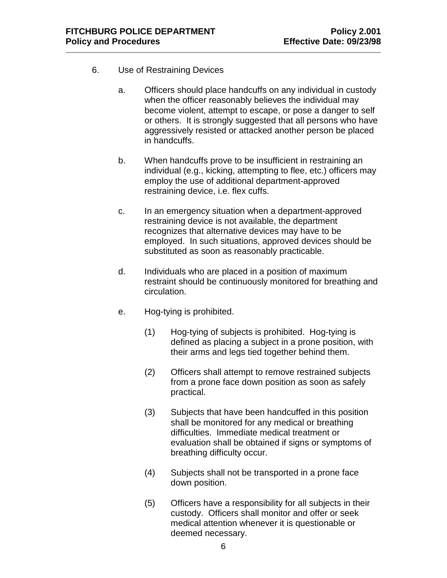- 6. Use of Restraining Devices
	- a. Officers should place handcuffs on any individual in custody when the officer reasonably believes the individual may become violent, attempt to escape, or pose a danger to self or others. It is strongly suggested that all persons who have aggressively resisted or attacked another person be placed in handcuffs.
	- b. When handcuffs prove to be insufficient in restraining an individual (e.g., kicking, attempting to flee, etc.) officers may employ the use of additional department-approved restraining device, i.e. flex cuffs.
	- c. In an emergency situation when a department-approved restraining device is not available, the department recognizes that alternative devices may have to be employed. In such situations, approved devices should be substituted as soon as reasonably practicable.
	- d. Individuals who are placed in a position of maximum restraint should be continuously monitored for breathing and circulation.
	- e. Hog-tying is prohibited.
		- (1) Hog-tying of subjects is prohibited. Hog-tying is defined as placing a subject in a prone position, with their arms and legs tied together behind them.
		- (2) Officers shall attempt to remove restrained subjects from a prone face down position as soon as safely practical.
		- (3) Subjects that have been handcuffed in this position shall be monitored for any medical or breathing difficulties. Immediate medical treatment or evaluation shall be obtained if signs or symptoms of breathing difficulty occur.
		- (4) Subjects shall not be transported in a prone face down position.
		- (5) Officers have a responsibility for all subjects in their custody. Officers shall monitor and offer or seek medical attention whenever it is questionable or deemed necessary.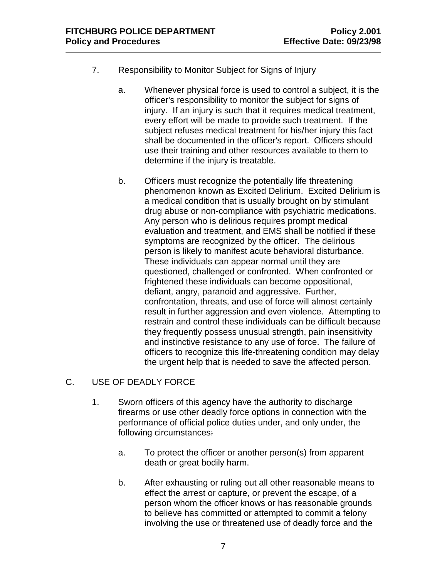- 7. Responsibility to Monitor Subject for Signs of Injury
	- a. Whenever physical force is used to control a subject, it is the officer's responsibility to monitor the subject for signs of injury. If an injury is such that it requires medical treatment, every effort will be made to provide such treatment. If the subject refuses medical treatment for his/her injury this fact shall be documented in the officer's report. Officers should use their training and other resources available to them to determine if the injury is treatable.
	- b. Officers must recognize the potentially life threatening phenomenon known as Excited Delirium. Excited Delirium is a medical condition that is usually brought on by stimulant drug abuse or non-compliance with psychiatric medications. Any person who is delirious requires prompt medical evaluation and treatment, and EMS shall be notified if these symptoms are recognized by the officer. The delirious person is likely to manifest acute behavioral disturbance. These individuals can appear normal until they are questioned, challenged or confronted. When confronted or frightened these individuals can become oppositional, defiant, angry, paranoid and aggressive. Further, confrontation, threats, and use of force will almost certainly result in further aggression and even violence. Attempting to restrain and control these individuals can be difficult because they frequently possess unusual strength, pain insensitivity and instinctive resistance to any use of force. The failure of officers to recognize this life-threatening condition may delay the urgent help that is needed to save the affected person.

# C. USE OF DEADLY FORCE

- 1. Sworn officers of this agency have the authority to discharge firearms or use other deadly force options in connection with the performance of official police duties under, and only under, the following circumstances:
	- a. To protect the officer or another person(s) from apparent death or great bodily harm.
	- b. After exhausting or ruling out all other reasonable means to effect the arrest or capture, or prevent the escape, of a person whom the officer knows or has reasonable grounds to believe has committed or attempted to commit a felony involving the use or threatened use of deadly force and the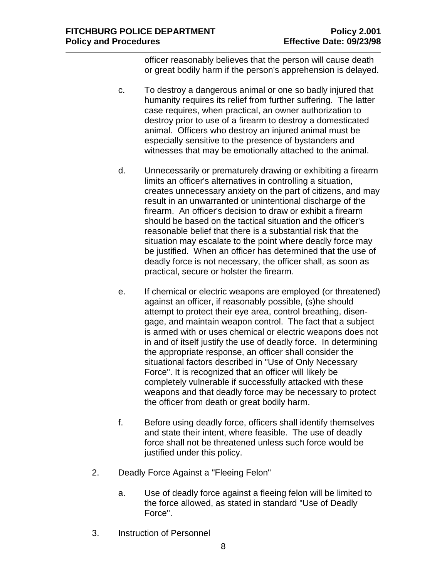officer reasonably believes that the person will cause death or great bodily harm if the person's apprehension is delayed.

- c. To destroy a dangerous animal or one so badly injured that humanity requires its relief from further suffering. The latter case requires, when practical, an owner authorization to destroy prior to use of a firearm to destroy a domesticated animal. Officers who destroy an injured animal must be especially sensitive to the presence of bystanders and witnesses that may be emotionally attached to the animal.
- d. Unnecessarily or prematurely drawing or exhibiting a firearm limits an officer's alternatives in controlling a situation, creates unnecessary anxiety on the part of citizens, and may result in an unwarranted or unintentional discharge of the firearm. An officer's decision to draw or exhibit a firearm should be based on the tactical situation and the officer's reasonable belief that there is a substantial risk that the situation may escalate to the point where deadly force may be justified. When an officer has determined that the use of deadly force is not necessary, the officer shall, as soon as practical, secure or holster the firearm.
- e. If chemical or electric weapons are employed (or threatened) against an officer, if reasonably possible, (s)he should attempt to protect their eye area, control breathing, disengage, and maintain weapon control. The fact that a subject is armed with or uses chemical or electric weapons does not in and of itself justify the use of deadly force. In determining the appropriate response, an officer shall consider the situational factors described in "Use of Only Necessary Force". It is recognized that an officer will likely be completely vulnerable if successfully attacked with these weapons and that deadly force may be necessary to protect the officer from death or great bodily harm.
- f. Before using deadly force, officers shall identify themselves and state their intent, where feasible. The use of deadly force shall not be threatened unless such force would be justified under this policy.
- 2. Deadly Force Against a "Fleeing Felon"
	- a. Use of deadly force against a fleeing felon will be limited to the force allowed, as stated in standard "Use of Deadly Force".
- 3. Instruction of Personnel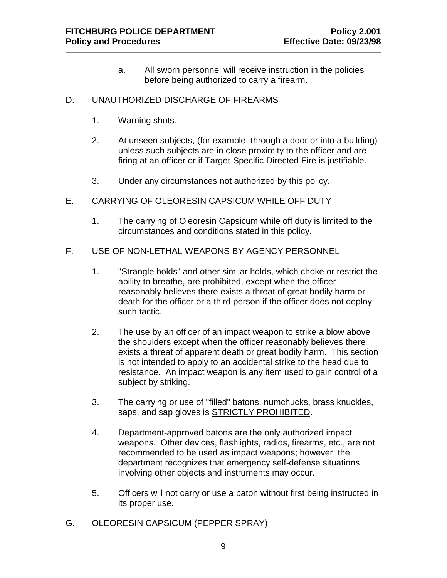a. All sworn personnel will receive instruction in the policies before being authorized to carry a firearm.

## D. UNAUTHORIZED DISCHARGE OF FIREARMS

- 1. Warning shots.
- 2. At unseen subjects, (for example, through a door or into a building) unless such subjects are in close proximity to the officer and are firing at an officer or if Target-Specific Directed Fire is justifiable.
- 3. Under any circumstances not authorized by this policy.
- E. CARRYING OF OLEORESIN CAPSICUM WHILE OFF DUTY
	- 1. The carrying of Oleoresin Capsicum while off duty is limited to the circumstances and conditions stated in this policy.
- F. USE OF NON-LETHAL WEAPONS BY AGENCY PERSONNEL
	- 1. "Strangle holds" and other similar holds, which choke or restrict the ability to breathe, are prohibited, except when the officer reasonably believes there exists a threat of great bodily harm or death for the officer or a third person if the officer does not deploy such tactic.
	- 2. The use by an officer of an impact weapon to strike a blow above the shoulders except when the officer reasonably believes there exists a threat of apparent death or great bodily harm. This section is not intended to apply to an accidental strike to the head due to resistance. An impact weapon is any item used to gain control of a subject by striking.
	- 3. The carrying or use of "filled" batons, numchucks, brass knuckles, saps, and sap gloves is STRICTLY PROHIBITED.
	- 4. Department-approved batons are the only authorized impact weapons. Other devices, flashlights, radios, firearms, etc., are not recommended to be used as impact weapons; however, the department recognizes that emergency self-defense situations involving other objects and instruments may occur.
	- 5. Officers will not carry or use a baton without first being instructed in its proper use.
- G. OLEORESIN CAPSICUM (PEPPER SPRAY)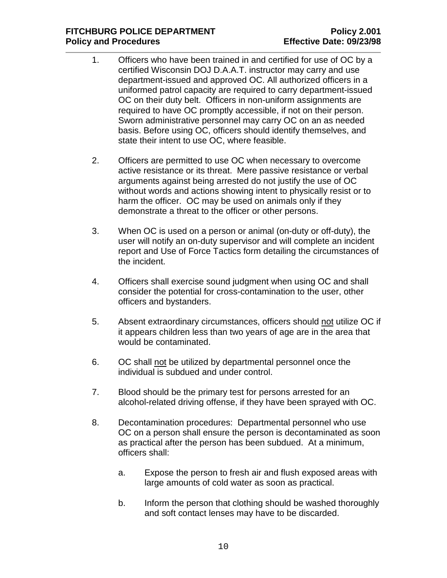- 1. Officers who have been trained in and certified for use of OC by a certified Wisconsin DOJ D.A.A.T. instructor may carry and use department-issued and approved OC. All authorized officers in a uniformed patrol capacity are required to carry department-issued OC on their duty belt. Officers in non-uniform assignments are required to have OC promptly accessible, if not on their person. Sworn administrative personnel may carry OC on an as needed basis. Before using OC, officers should identify themselves, and state their intent to use OC, where feasible.
- 2. Officers are permitted to use OC when necessary to overcome active resistance or its threat. Mere passive resistance or verbal arguments against being arrested do not justify the use of OC without words and actions showing intent to physically resist or to harm the officer. OC may be used on animals only if they demonstrate a threat to the officer or other persons.
- 3. When OC is used on a person or animal (on-duty or off-duty), the user will notify an on-duty supervisor and will complete an incident report and Use of Force Tactics form detailing the circumstances of the incident.
- 4. Officers shall exercise sound judgment when using OC and shall consider the potential for cross-contamination to the user, other officers and bystanders.
- 5. Absent extraordinary circumstances, officers should not utilize OC if it appears children less than two years of age are in the area that would be contaminated.
- 6. OC shall not be utilized by departmental personnel once the individual is subdued and under control.
- 7. Blood should be the primary test for persons arrested for an alcohol-related driving offense, if they have been sprayed with OC.
- 8. Decontamination procedures: Departmental personnel who use OC on a person shall ensure the person is decontaminated as soon as practical after the person has been subdued. At a minimum, officers shall:
	- a. Expose the person to fresh air and flush exposed areas with large amounts of cold water as soon as practical.
	- b. Inform the person that clothing should be washed thoroughly and soft contact lenses may have to be discarded.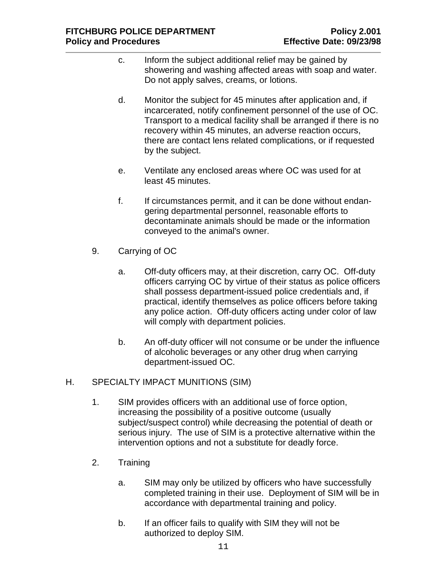- c. Inform the subject additional relief may be gained by showering and washing affected areas with soap and water. Do not apply salves, creams, or lotions.
- d. Monitor the subject for 45 minutes after application and, if incarcerated, notify confinement personnel of the use of OC. Transport to a medical facility shall be arranged if there is no recovery within 45 minutes, an adverse reaction occurs, there are contact lens related complications, or if requested by the subject.
- e. Ventilate any enclosed areas where OC was used for at least 45 minutes.
- f. If circumstances permit, and it can be done without endangering departmental personnel, reasonable efforts to decontaminate animals should be made or the information conveyed to the animal's owner.
- 9. Carrying of OC
	- a. Off-duty officers may, at their discretion, carry OC. Off-duty officers carrying OC by virtue of their status as police officers shall possess department-issued police credentials and, if practical, identify themselves as police officers before taking any police action. Off-duty officers acting under color of law will comply with department policies.
	- b. An off-duty officer will not consume or be under the influence of alcoholic beverages or any other drug when carrying department-issued OC.

# H. SPECIALTY IMPACT MUNITIONS (SIM)

- 1. SIM provides officers with an additional use of force option, increasing the possibility of a positive outcome (usually subject/suspect control) while decreasing the potential of death or serious injury. The use of SIM is a protective alternative within the intervention options and not a substitute for deadly force.
- 2. Training
	- a. SIM may only be utilized by officers who have successfully completed training in their use. Deployment of SIM will be in accordance with departmental training and policy.
	- b. If an officer fails to qualify with SIM they will not be authorized to deploy SIM.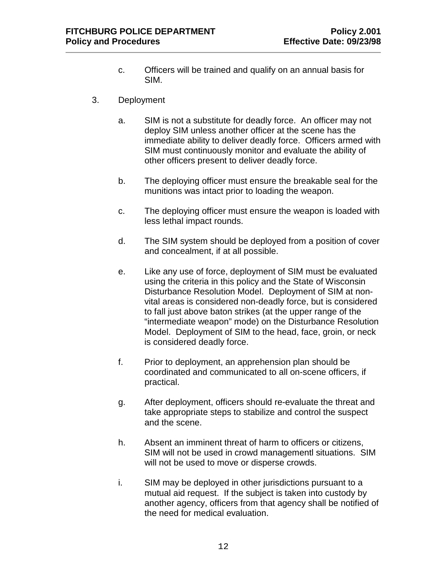- c. Officers will be trained and qualify on an annual basis for SIM.
- 3. Deployment
	- a. SIM is not a substitute for deadly force. An officer may not deploy SIM unless another officer at the scene has the immediate ability to deliver deadly force. Officers armed with SIM must continuously monitor and evaluate the ability of other officers present to deliver deadly force.
	- b. The deploying officer must ensure the breakable seal for the munitions was intact prior to loading the weapon.
	- c. The deploying officer must ensure the weapon is loaded with less lethal impact rounds.
	- d. The SIM system should be deployed from a position of cover and concealment, if at all possible.
	- e. Like any use of force, deployment of SIM must be evaluated using the criteria in this policy and the State of Wisconsin Disturbance Resolution Model. Deployment of SIM at nonvital areas is considered non-deadly force, but is considered to fall just above baton strikes (at the upper range of the "intermediate weapon" mode) on the Disturbance Resolution Model. Deployment of SIM to the head, face, groin, or neck is considered deadly force.
	- f. Prior to deployment, an apprehension plan should be coordinated and communicated to all on-scene officers, if practical.
	- g. After deployment, officers should re-evaluate the threat and take appropriate steps to stabilize and control the suspect and the scene.
	- h. Absent an imminent threat of harm to officers or citizens, SIM will not be used in crowd managementl situations. SIM will not be used to move or disperse crowds.
	- i. SIM may be deployed in other jurisdictions pursuant to a mutual aid request. If the subject is taken into custody by another agency, officers from that agency shall be notified of the need for medical evaluation.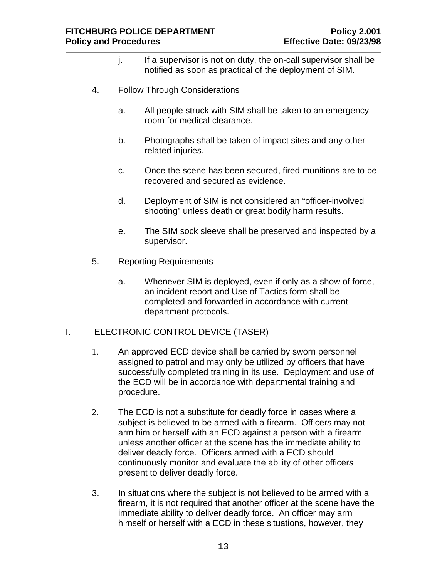- j. If a supervisor is not on duty, the on-call supervisor shall be notified as soon as practical of the deployment of SIM.
- 4. Follow Through Considerations
	- a. All people struck with SIM shall be taken to an emergency room for medical clearance.
	- b. Photographs shall be taken of impact sites and any other related injuries.
	- c. Once the scene has been secured, fired munitions are to be recovered and secured as evidence.
	- d. Deployment of SIM is not considered an "officer-involved shooting" unless death or great bodily harm results.
	- e. The SIM sock sleeve shall be preserved and inspected by a supervisor.
- 5. Reporting Requirements
	- a. Whenever SIM is deployed, even if only as a show of force, an incident report and Use of Tactics form shall be completed and forwarded in accordance with current department protocols.

## I. ELECTRONIC CONTROL DEVICE (TASER)

- 1. An approved ECD device shall be carried by sworn personnel assigned to patrol and may only be utilized by officers that have successfully completed training in its use. Deployment and use of the ECD will be in accordance with departmental training and procedure.
- 2. The ECD is not a substitute for deadly force in cases where a subject is believed to be armed with a firearm. Officers may not arm him or herself with an ECD against a person with a firearm unless another officer at the scene has the immediate ability to deliver deadly force. Officers armed with a ECD should continuously monitor and evaluate the ability of other officers present to deliver deadly force.
- 3. In situations where the subject is not believed to be armed with a firearm, it is not required that another officer at the scene have the immediate ability to deliver deadly force. An officer may arm himself or herself with a ECD in these situations, however, they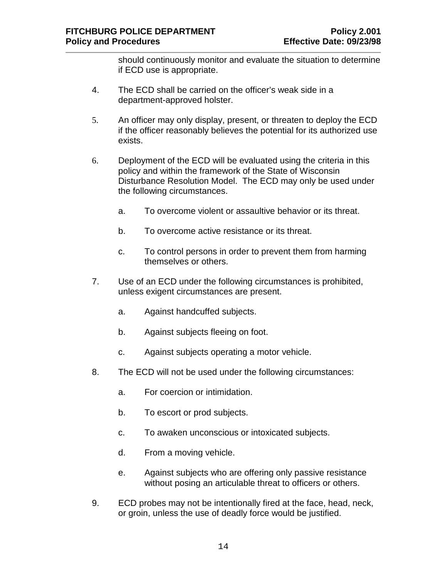should continuously monitor and evaluate the situation to determine if ECD use is appropriate.

- 4. The ECD shall be carried on the officer's weak side in a department-approved holster.
- 5. An officer may only display, present, or threaten to deploy the ECD if the officer reasonably believes the potential for its authorized use exists.
- 6. Deployment of the ECD will be evaluated using the criteria in this policy and within the framework of the State of Wisconsin Disturbance Resolution Model. The ECD may only be used under the following circumstances.
	- a. To overcome violent or assaultive behavior or its threat.
	- b. To overcome active resistance or its threat.
	- c. To control persons in order to prevent them from harming themselves or others.
- 7. Use of an ECD under the following circumstances is prohibited, unless exigent circumstances are present.
	- a. Against handcuffed subjects.
	- b. Against subjects fleeing on foot.
	- c. Against subjects operating a motor vehicle.
- 8. The ECD will not be used under the following circumstances:
	- a. For coercion or intimidation.
	- b. To escort or prod subjects.
	- c. To awaken unconscious or intoxicated subjects.
	- d. From a moving vehicle.
	- e. Against subjects who are offering only passive resistance without posing an articulable threat to officers or others.
- 9. ECD probes may not be intentionally fired at the face, head, neck, or groin, unless the use of deadly force would be justified.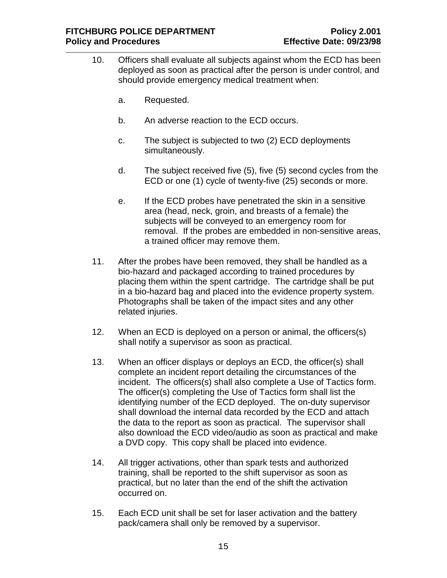- 10. Officers shall evaluate all subjects against whom the ECD has been deployed as soon as practical after the person is under control, and should provide emergency medical treatment when:
	- a. Requested.
	- b. An adverse reaction to the ECD occurs.
	- c. The subject is subjected to two (2) ECD deployments simultaneously.
	- d. The subject received five (5), five (5) second cycles from the ECD or one (1) cycle of twenty-five (25) seconds or more.
	- e. If the ECD probes have penetrated the skin in a sensitive area (head, neck, groin, and breasts of a female) the subjects will be conveyed to an emergency room for removal. If the probes are embedded in non-sensitive areas, a trained officer may remove them.
- 11. After the probes have been removed, they shall be handled as a bio-hazard and packaged according to trained procedures by placing them within the spent cartridge. The cartridge shall be put in a bio-hazard bag and placed into the evidence property system. Photographs shall be taken of the impact sites and any other related injuries.
- 12. When an ECD is deployed on a person or animal, the officers(s) shall notify a supervisor as soon as practical.
- 13. When an officer displays or deploys an ECD, the officer(s) shall complete an incident report detailing the circumstances of the incident. The officers(s) shall also complete a Use of Tactics form. The officer(s) completing the Use of Tactics form shall list the identifying number of the ECD deployed. The on-duty supervisor shall download the internal data recorded by the ECD and attach the data to the report as soon as practical. The supervisor shall also download the ECD video/audio as soon as practical and make a DVD copy. This copy shall be placed into evidence.
- 14. All trigger activations, other than spark tests and authorized training, shall be reported to the shift supervisor as soon as practical, but no later than the end of the shift the activation occurred on.
- 15. Each ECD unit shall be set for laser activation and the battery pack/camera shall only be removed by a supervisor.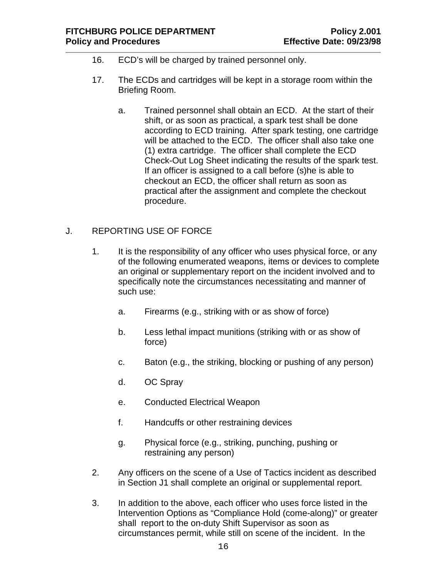- 16. ECD's will be charged by trained personnel only.
- 17. The ECDs and cartridges will be kept in a storage room within the Briefing Room.
	- a. Trained personnel shall obtain an ECD. At the start of their shift, or as soon as practical, a spark test shall be done according to ECD training. After spark testing, one cartridge will be attached to the ECD. The officer shall also take one (1) extra cartridge. The officer shall complete the ECD Check-Out Log Sheet indicating the results of the spark test. If an officer is assigned to a call before (s)he is able to checkout an ECD, the officer shall return as soon as practical after the assignment and complete the checkout procedure.

## J. REPORTING USE OF FORCE

- 1. It is the responsibility of any officer who uses physical force, or any of the following enumerated weapons, items or devices to complete an original or supplementary report on the incident involved and to specifically note the circumstances necessitating and manner of such use:
	- a. Firearms (e.g., striking with or as show of force)
	- b. Less lethal impact munitions (striking with or as show of force)
	- c. Baton (e.g., the striking, blocking or pushing of any person)
	- d. OC Spray
	- e. Conducted Electrical Weapon
	- f. Handcuffs or other restraining devices
	- g. Physical force (e.g., striking, punching, pushing or restraining any person)
- 2. Any officers on the scene of a Use of Tactics incident as described in Section J1 shall complete an original or supplemental report.
- 3. In addition to the above, each officer who uses force listed in the Intervention Options as "Compliance Hold (come-along)" or greater shall report to the on-duty Shift Supervisor as soon as circumstances permit, while still on scene of the incident. In the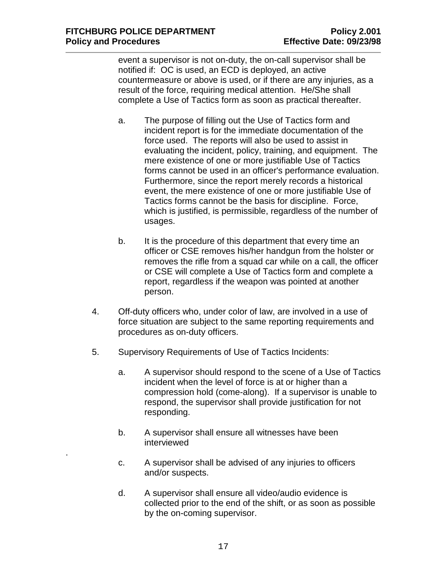.

event a supervisor is not on-duty, the on-call supervisor shall be notified if: OC is used, an ECD is deployed, an active countermeasure or above is used, or if there are any injuries, as a result of the force, requiring medical attention. He/She shall complete a Use of Tactics form as soon as practical thereafter.

- a. The purpose of filling out the Use of Tactics form and incident report is for the immediate documentation of the force used. The reports will also be used to assist in evaluating the incident, policy, training, and equipment. The mere existence of one or more justifiable Use of Tactics forms cannot be used in an officer's performance evaluation. Furthermore, since the report merely records a historical event, the mere existence of one or more justifiable Use of Tactics forms cannot be the basis for discipline. Force, which is justified, is permissible, regardless of the number of usages.
- b. It is the procedure of this department that every time an officer or CSE removes his/her handgun from the holster or removes the rifle from a squad car while on a call, the officer or CSE will complete a Use of Tactics form and complete a report, regardless if the weapon was pointed at another person.
- 4. Off-duty officers who, under color of law, are involved in a use of force situation are subject to the same reporting requirements and procedures as on-duty officers.
- 5. Supervisory Requirements of Use of Tactics Incidents:
	- a. A supervisor should respond to the scene of a Use of Tactics incident when the level of force is at or higher than a compression hold (come-along). If a supervisor is unable to respond, the supervisor shall provide justification for not responding.
	- b. A supervisor shall ensure all witnesses have been interviewed
	- c. A supervisor shall be advised of any injuries to officers and/or suspects.
	- d. A supervisor shall ensure all video/audio evidence is collected prior to the end of the shift, or as soon as possible by the on-coming supervisor.